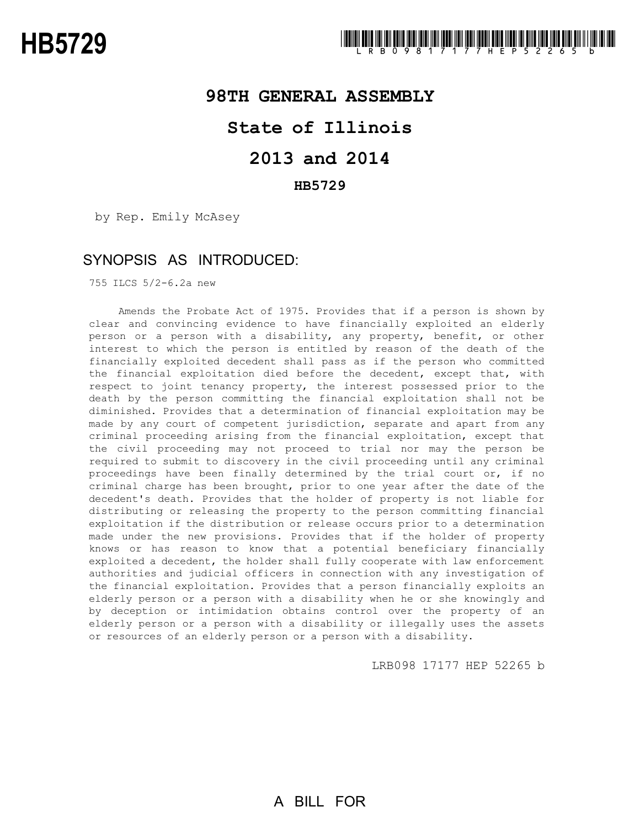## **98TH GENERAL ASSEMBLY**

## **State of Illinois**

# **2013 and 2014**

### **HB5729**

by Rep. Emily McAsey

### SYNOPSIS AS INTRODUCED:

755 ILCS 5/2-6.2a new

Amends the Probate Act of 1975. Provides that if a person is shown by clear and convincing evidence to have financially exploited an elderly person or a person with a disability, any property, benefit, or other interest to which the person is entitled by reason of the death of the financially exploited decedent shall pass as if the person who committed the financial exploitation died before the decedent, except that, with respect to joint tenancy property, the interest possessed prior to the death by the person committing the financial exploitation shall not be diminished. Provides that a determination of financial exploitation may be made by any court of competent jurisdiction, separate and apart from any criminal proceeding arising from the financial exploitation, except that the civil proceeding may not proceed to trial nor may the person be required to submit to discovery in the civil proceeding until any criminal proceedings have been finally determined by the trial court or, if no criminal charge has been brought, prior to one year after the date of the decedent's death. Provides that the holder of property is not liable for distributing or releasing the property to the person committing financial exploitation if the distribution or release occurs prior to a determination made under the new provisions. Provides that if the holder of property knows or has reason to know that a potential beneficiary financially exploited a decedent, the holder shall fully cooperate with law enforcement authorities and judicial officers in connection with any investigation of the financial exploitation. Provides that a person financially exploits an elderly person or a person with a disability when he or she knowingly and by deception or intimidation obtains control over the property of an elderly person or a person with a disability or illegally uses the assets or resources of an elderly person or a person with a disability.

LRB098 17177 HEP 52265 b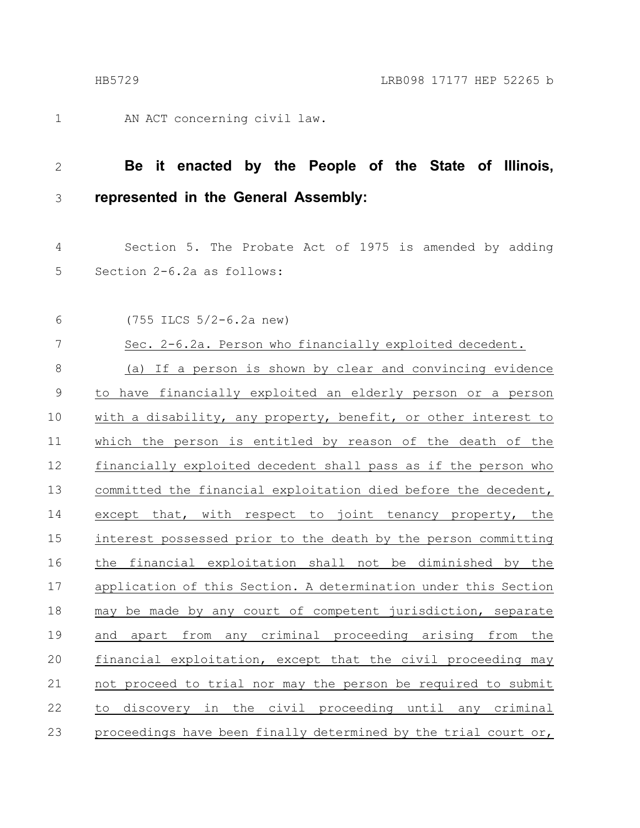1

AN ACT concerning civil law.

### **Be it enacted by the People of the State of Illinois, represented in the General Assembly:** 2 3

- Section 5. The Probate Act of 1975 is amended by adding Section 2-6.2a as follows: 4 5
- (755 ILCS 5/2-6.2a new) 6

| 7           | Sec. 2-6.2a. Person who financially exploited decedent.         |
|-------------|-----------------------------------------------------------------|
| $\,8\,$     | (a) If a person is shown by clear and convincing evidence       |
| $\mathsf 9$ | to have financially exploited an elderly person or a person     |
| 10          | with a disability, any property, benefit, or other interest to  |
| 11          | which the person is entitled by reason of the death of the      |
| 12          | financially exploited decedent shall pass as if the person who  |
| 13          | committed the financial exploitation died before the decedent,  |
| 14          | except that, with respect to joint tenancy property, the        |
| 15          | interest possessed prior to the death by the person committing  |
| 16          | the financial exploitation shall not be diminished by the       |
| 17          | application of this Section. A determination under this Section |
| 18          | may be made by any court of competent jurisdiction, separate    |
| 19          | apart from any criminal proceeding arising from the<br>and      |
| 20          | financial exploitation, except that the civil proceeding may    |
| 21          | not proceed to trial nor may the person be required to submit   |
| 22          | to discovery in the civil proceeding until any criminal         |
| 23          | proceedings have been finally determined by the trial court or, |